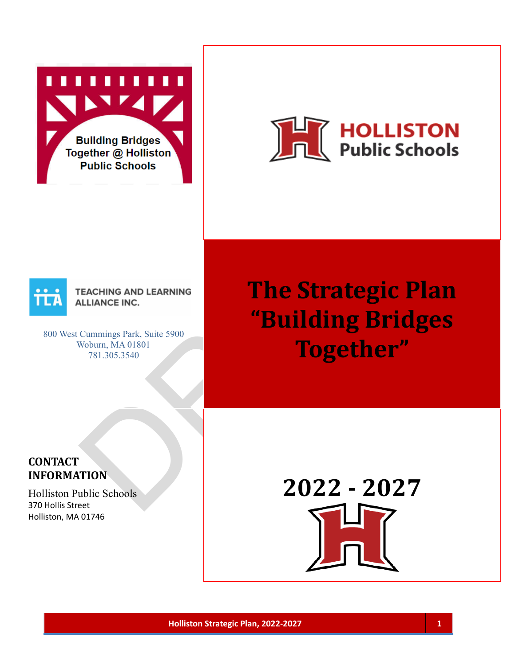**Building Bridges** 





800 West Cummings Park, Suite 5900 Woburn, MA 01801 781.305.3540

Public Schools<br>
Public Schools<br>
Cumming Park, Suite 5900<br>
Cumming Park, Suite 5900<br>
The Strategic Pla<br>
"Building Bridge<br>
Together"<br>
The Strategic Pla<br>
DRAFT MADISON<br>
Together"<br>
2022 - 2027 **The Strategic Plan "Building Bridges Together"**

### **CONTACT INFORMATION**

Holliston Public Schools 370 Hollis Street Holliston, MA 01746

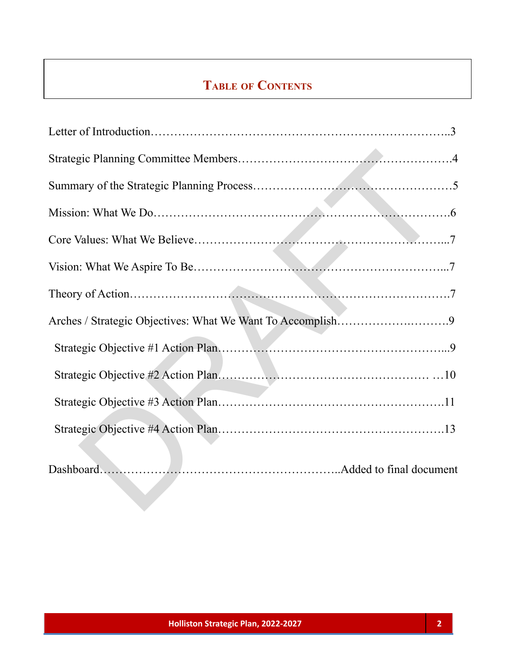# **TABLE OF CONTENTS**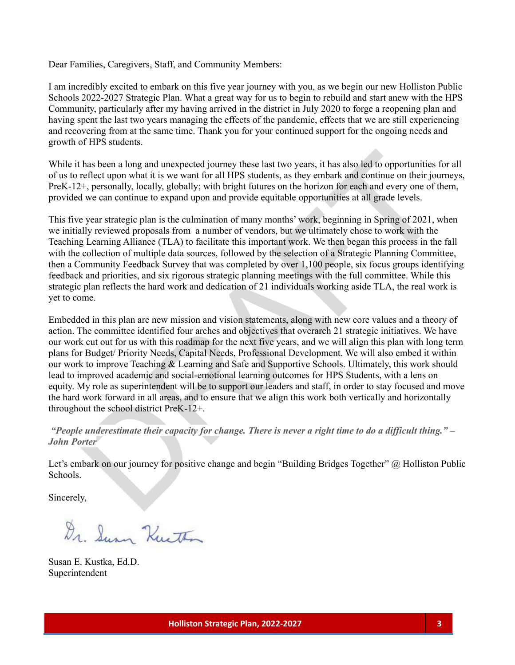Dear Families, Caregivers, Staff, and Community Members:

I am incredibly excited to embark on this five year journey with you, as we begin our new Holliston Public Schools 2022-2027 Strategic Plan. What a great way for us to begin to rebuild and start anew with the HPS Community, particularly after my having arrived in the district in July 2020 to forge a reopening plan and having spent the last two years managing the effects of the pandemic, effects that we are still experiencing and recovering from at the same time. Thank you for your continued support for the ongoing needs and growth of HPS students.

While it has been a long and unexpected journey these last two years, it has also led to opportunities for all of us to reflect upon what it is we want for all HPS students, as they embark and continue on their journeys, PreK-12+, personally, locally, globally; with bright futures on the horizon for each and every one of them, provided we can continue to expand upon and provide equitable opportunities at all grade levels.

This five year strategic plan is the culmination of many months' work, beginning in Spring of 2021, when we initially reviewed proposals from a number of vendors, but we ultimately chose to work with the Teaching Learning Alliance (TLA) to facilitate this important work. We then began this process in the fall with the collection of multiple data sources, followed by the selection of a Strategic Planning Committee, then a Community Feedback Survey that was completed by over 1,100 people, six focus groups identifying feedback and priorities, and six rigorous strategic planning meetings with the full committee. While this strategic plan reflects the hard work and dedication of 21 individuals working aside TLA, the real work is yet to come.

thas been a long and unexpected journey these last two years, it has also led to opportunities reflect upon what it is we want for all IIPS students, as they embark and continue on their journey.<br>
<sup>24</sup>, personally, locally Embedded in this plan are new mission and vision statements, along with new core values and a theory of action. The committee identified four arches and objectives that overarch 21 strategic initiatives. We have our work cut out for us with this roadmap for the next five years, and we will align this plan with long term plans for Budget/ Priority Needs, Capital Needs, Professional Development. We will also embed it within our work to improve Teaching & Learning and Safe and Supportive Schools. Ultimately, this work should lead to improved academic and social-emotional learning outcomes for HPS Students, with a lens on equity. My role as superintendent will be to support our leaders and staff, in order to stay focused and move the hard work forward in all areas, and to ensure that we align this work both vertically and horizontally throughout the school district PreK-12+.

"People underestimate their capacity for change. There is never a right time to do a difficult thing."  $-$ *John Porter*

Let's embark on our journey for positive change and begin "Building Bridges Together" @ Holliston Public Schools.

Sincerely,

Dr. Surn Kurth

Susan E. Kustka, Ed.D. Superintendent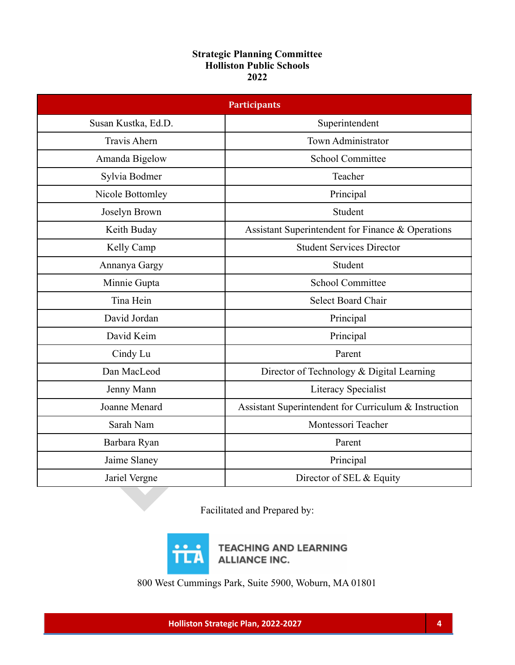### **Strategic Planning Committee Holliston Public Schools 2022**

| <b>Participants</b> |                                                       |  |  |
|---------------------|-------------------------------------------------------|--|--|
| Susan Kustka, Ed.D. | Superintendent                                        |  |  |
| <b>Travis Ahern</b> | Town Administrator                                    |  |  |
| Amanda Bigelow      | <b>School Committee</b>                               |  |  |
| Sylvia Bodmer       | Teacher                                               |  |  |
| Nicole Bottomley    | Principal                                             |  |  |
| Joselyn Brown       | Student                                               |  |  |
| Keith Buday         | Assistant Superintendent for Finance & Operations     |  |  |
| Kelly Camp          | <b>Student Services Director</b>                      |  |  |
| Annanya Gargy       | Student                                               |  |  |
| Minnie Gupta        | <b>School Committee</b>                               |  |  |
| Tina Hein           | <b>Select Board Chair</b>                             |  |  |
| David Jordan        | Principal                                             |  |  |
| David Keim          | Principal                                             |  |  |
| Cindy Lu            | Parent                                                |  |  |
| Dan MacLeod         | Director of Technology & Digital Learning             |  |  |
| Jenny Mann          | Literacy Specialist                                   |  |  |
| Joanne Menard       | Assistant Superintendent for Curriculum & Instruction |  |  |
| Sarah Nam           | Montessori Teacher                                    |  |  |
| Barbara Ryan        | Parent                                                |  |  |
| Jaime Slaney        | Principal                                             |  |  |
| Jariel Vergne       | Director of SEL & Equity                              |  |  |
|                     | Eacilitated and Prepared by:                          |  |  |

Facilitated and Prepared by:



**TEACHING AND LEARNING ALLIANCE INC.** 

800 West Cummings Park, Suite 5900, Woburn, MA 01801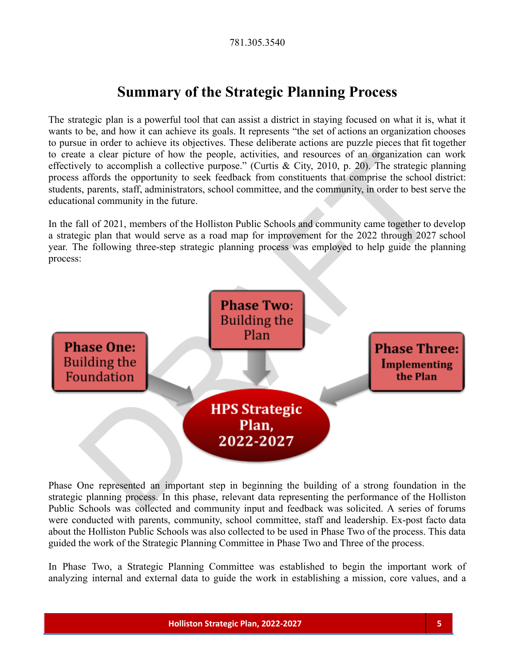## **Summary of the Strategic Planning Process**

The strategic plan is a powerful tool that can assist a district in staying focused on what it is, what it wants to be, and how it can achieve its goals. It represents "the set of actions an organization chooses to pursue in order to achieve its objectives. These deliberate actions are puzzle pieces that fit together to create a clear picture of how the people, activities, and resources of an organization can work effectively to accomplish a collective purpose." (Curtis & City, 2010, p. 20). The strategic planning process affords the opportunity to seek feedback from constituents that comprise the school district: students, parents, staff, administrators, school committee, and the community, in order to best serve the educational community in the future.

In the fall of 2021, members of the Holliston Public Schools and community came together to develop a strategic plan that would serve as a road map for improvement for the 2022 through 2027 school year. The following three-step strategic planning process was employed to help guide the planning process:



Phase One represented an important step in beginning the building of a strong foundation in the strategic planning process. In this phase, relevant data representing the performance of the Holliston Public Schools was collected and community input and feedback was solicited. A series of forums were conducted with parents, community, school committee, staff and leadership. Ex-post facto data about the Holliston Public Schools was also collected to be used in Phase Two of the process. This data guided the work of the Strategic Planning Committee in Phase Two and Three of the process.

In Phase Two, a Strategic Planning Committee was established to begin the important work of analyzing internal and external data to guide the work in establishing a mission, core values, and a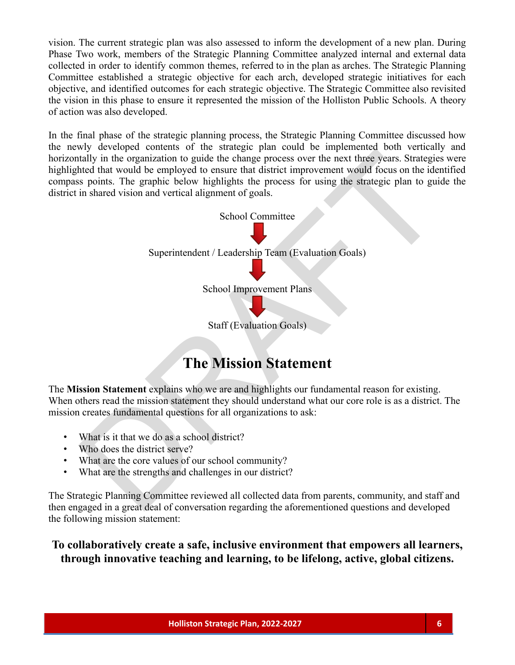vision. The current strategic plan was also assessed to inform the development of a new plan. During Phase Two work, members of the Strategic Planning Committee analyzed internal and external data collected in order to identify common themes, referred to in the plan as arches. The Strategic Planning Committee established a strategic objective for each arch, developed strategic initiatives for each objective, and identified outcomes for each strategic objective. The Strategic Committee also revisited the vision in this phase to ensure it represented the mission of the Holliston Public Schools. A theory of action was also developed.

In the final phase of the strategic planning process, the Strategic Planning Committee discussed how the newly developed contents of the strategic plan could be implemented both vertically and horizontally in the organization to guide the change process over the next three years. Strategies were highlighted that would be employed to ensure that district improvement would focus on the identified compass points. The graphic below highlights the process for using the strategic plan to guide the district in shared vision and vertical alignment of goals.



# **The Mission Statement**

The **Mission Statement** explains who we are and highlights our fundamental reason for existing. When others read the mission statement they should understand what our core role is as a district. The mission creates fundamental questions for all organizations to ask:

- What is it that we do as a school district?
- Who does the district serve?
- What are the core values of our school community?
- What are the strengths and challenges in our district?

The Strategic Planning Committee reviewed all collected data from parents, community, and staff and then engaged in a great deal of conversation regarding the aforementioned questions and developed the following mission statement:

**To collaboratively create a safe, inclusive environment that empowers all learners, through innovative teaching and learning, to be lifelong, active, global citizens.**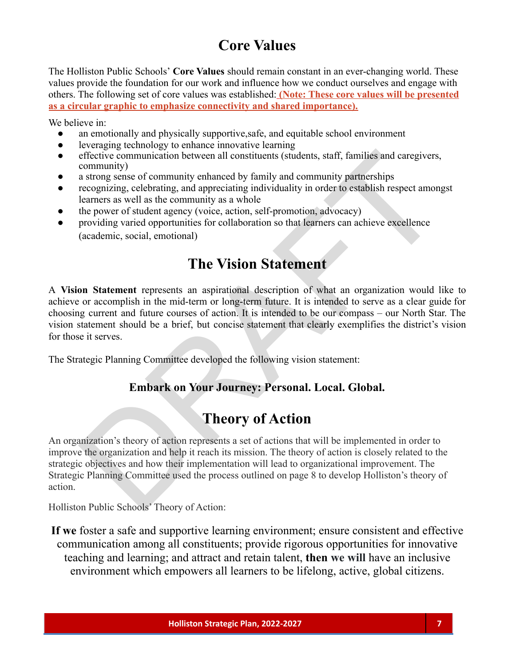# **Core Values**

The Holliston Public Schools' **Core Values** should remain constant in an ever-changing world. These values provide the foundation for our work and influence how we conduct ourselves and engage with others. The following set of core values was established: **(Note: These core values will be presented as a circular graphic to emphasize connectivity and shared importance).**

We believe in:

- an emotionally and physically supportive, safe, and equitable school environment
- leveraging technology to enhance innovative learning
- effective communication between all constituents (students, staff, families and caregivers, community)
- a strong sense of community enhanced by family and community partnerships
- recognizing, celebrating, and appreciating individuality in order to establish respect amongst learners as well as the community as a whole
- the power of student agency (voice, action, self-promotion, advocacy)
- providing varied opportunities for collaboration so that learners can achieve excellence (academic, social, emotional)

## **The Vision Statement**

A **Vision Statement** represents an aspirational description of what an organization would like to achieve or accomplish in the mid-term or long-term future. It is intended to serve as a clear guide for choosing current and future courses of action. It is intended to be our compass – our North Star. The vision statement should be a brief, but concise statement that clearly exemplifies the district's vision for those it serves.

The Strategic Planning Committee developed the following vision statement:

### **Embark on Your Journey: Personal. Local. Global.**

### **Theory of Action**

effective communication between all constituents (students, starff, families and caregivers,<br>
community enhanced by family and community partnerships<br>
community enhanced by family and community partnerships<br>
recognizing, a An organization's theory of action represents a set of actions that will be implemented in order to improve the organization and help it reach its mission. The theory of action is closely related to the strategic objectives and how their implementation will lead to organizational improvement. The Strategic Planning Committee used the process outlined on page 8 to develop Holliston's theory of action.

Holliston Public Schools' Theory of Action:

**If we** foster a safe and supportive learning environment; ensure consistent and effective communication among all constituents; provide rigorous opportunities for innovative teaching and learning; and attract and retain talent, **then we will** have an inclusive environment which empowers all learners to be lifelong, active, global citizens.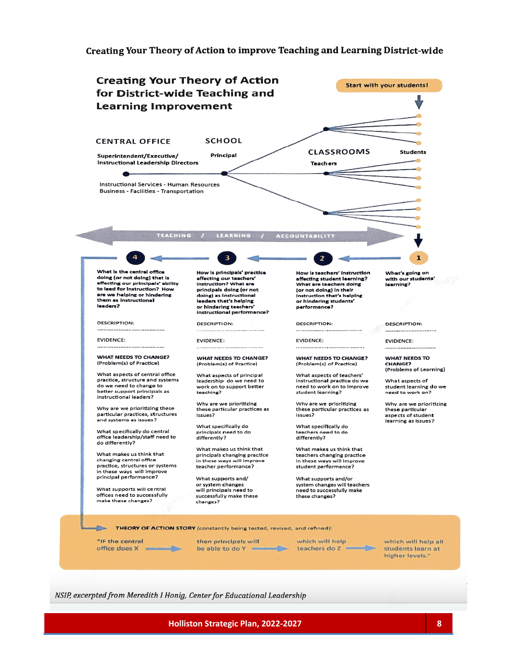#### Creating Your Theory of Action to improve Teaching and Learning District-wide



NSIP, excerpted from Meredith I Honig, Center for Educational Leadership

**Holliston Strategic Plan, 2022-2027 8**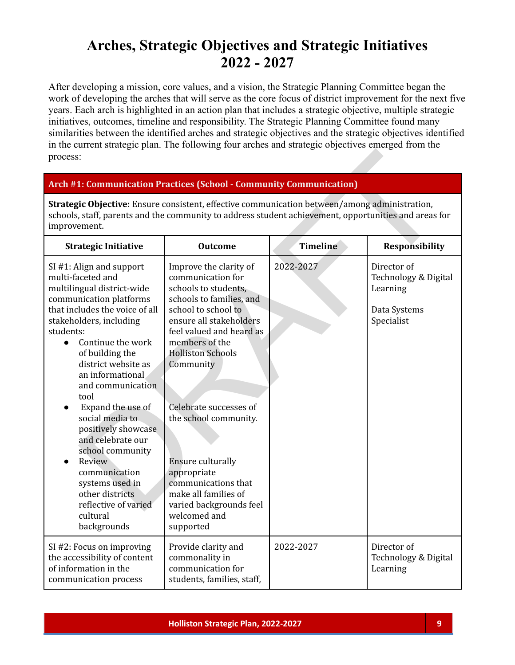## **Arches, Strategic Objectives and Strategic Initiatives 2022 - 2027**

After developing a mission, core values, and a vision, the Strategic Planning Committee began the work of developing the arches that will serve as the core focus of district improvement for the next five years. Each arch is highlighted in an action plan that includes a strategic objective, multiple strategic initiatives, outcomes, timeline and responsibility. The Strategic Planning Committee found many similarities between the identified arches and strategic objectives and the strategic objectives identified in the current strategic plan. The following four arches and strategic objectives emerged from the process:

#### **Arch #1: Communication Practices (School - Community Communication)**

| process:                                                                                                                                                                                                                                                                                                                                                                                                                                                                                                                                               |                                                                                                                                                                                                                                                                                                                                                                                                                                               |                 |                                                                               |
|--------------------------------------------------------------------------------------------------------------------------------------------------------------------------------------------------------------------------------------------------------------------------------------------------------------------------------------------------------------------------------------------------------------------------------------------------------------------------------------------------------------------------------------------------------|-----------------------------------------------------------------------------------------------------------------------------------------------------------------------------------------------------------------------------------------------------------------------------------------------------------------------------------------------------------------------------------------------------------------------------------------------|-----------------|-------------------------------------------------------------------------------|
| <b>Arch #1: Communication Practices (School - Community Communication)</b>                                                                                                                                                                                                                                                                                                                                                                                                                                                                             |                                                                                                                                                                                                                                                                                                                                                                                                                                               |                 |                                                                               |
| Strategic Objective: Ensure consistent, effective communication between/among administration,<br>schools, staff, parents and the community to address student achievement, opportunities and areas for<br>improvement.                                                                                                                                                                                                                                                                                                                                 |                                                                                                                                                                                                                                                                                                                                                                                                                                               |                 |                                                                               |
| <b>Strategic Initiative</b>                                                                                                                                                                                                                                                                                                                                                                                                                                                                                                                            | <b>Outcome</b>                                                                                                                                                                                                                                                                                                                                                                                                                                | <b>Timeline</b> | <b>Responsibility</b>                                                         |
| SI #1: Align and support<br>multi-faceted and<br>multilingual district-wide<br>communication platforms<br>that includes the voice of all<br>stakeholders, including<br>students:<br>Continue the work<br>$\bullet$<br>of building the<br>district website as<br>an informational<br>and communication<br>tool<br>Expand the use of<br>$\bullet$<br>social media to<br>positively showcase<br>and celebrate our<br>school community<br>Review<br>communication<br>systems used in<br>other districts<br>reflective of varied<br>cultural<br>backgrounds | Improve the clarity of<br>communication for<br>schools to students,<br>schools to families, and<br>school to school to<br>ensure all stakeholders<br>feel valued and heard as<br>members of the<br><b>Holliston Schools</b><br>Community<br>Celebrate successes of<br>the school community.<br><b>Ensure culturally</b><br>appropriate<br>communications that<br>make all families of<br>varied backgrounds feel<br>welcomed and<br>supported | 2022-2027       | Director of<br>Technology & Digital<br>Learning<br>Data Systems<br>Specialist |
| SI #2: Focus on improving<br>the accessibility of content<br>of information in the<br>communication process                                                                                                                                                                                                                                                                                                                                                                                                                                            | Provide clarity and<br>commonality in<br>communication for<br>students, families, staff,                                                                                                                                                                                                                                                                                                                                                      | 2022-2027       | Director of<br>Technology & Digital<br>Learning                               |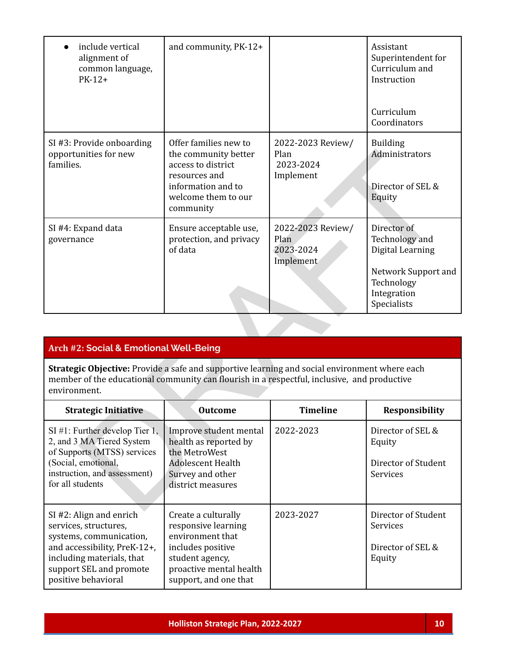| include vertical<br>alignment of<br>common language,<br>$PK-12+$                                                                                                                                             | and community, PK-12+                                                                                                                          |                                                     | Assistant<br>Superintendent for<br>Curriculum and<br>Instruction                                                     |
|--------------------------------------------------------------------------------------------------------------------------------------------------------------------------------------------------------------|------------------------------------------------------------------------------------------------------------------------------------------------|-----------------------------------------------------|----------------------------------------------------------------------------------------------------------------------|
|                                                                                                                                                                                                              |                                                                                                                                                |                                                     | Curriculum<br>Coordinators                                                                                           |
| SI #3: Provide onboarding<br>opportunities for new<br>families.                                                                                                                                              | Offer families new to<br>the community better<br>access to district<br>resources and<br>information and to<br>welcome them to our<br>community | 2022-2023 Review/<br>Plan<br>2023-2024<br>Implement | <b>Building</b><br>Administrators<br>Director of SEL &<br>Equity                                                     |
| SI #4: Expand data<br>governance                                                                                                                                                                             | Ensure acceptable use,<br>protection, and privacy<br>of data                                                                                   | 2022-2023 Review/<br>Plan<br>2023-2024<br>Implement | Director of<br>Technology and<br>Digital Learning<br>Network Support and<br>Technology<br>Integration<br>Specialists |
|                                                                                                                                                                                                              |                                                                                                                                                |                                                     |                                                                                                                      |
| <b>Arch #2: Social &amp; Emotional Well-Being</b>                                                                                                                                                            |                                                                                                                                                |                                                     |                                                                                                                      |
| Strategic Objective: Provide a safe and supportive learning and social environment where each<br>member of the educational community can flourish in a respectful, inclusive, and productive<br>environment. |                                                                                                                                                |                                                     |                                                                                                                      |
| <b>Strategic Initiative</b>                                                                                                                                                                                  | <b>Outcome</b>                                                                                                                                 | <b>Timeline</b>                                     | Responsibility                                                                                                       |
| $SI$ #1: Further develop Tier 1,<br>2, and 3 MA Tiered System<br>of Supports (MTSS) services<br>(Social, emotional,<br>instruction, and assessment)<br>for all students                                      | Improve student mental<br>health as reported by<br>the MetroWest<br><b>Adolescent Health</b><br>Survey and other<br>district measures          | 2022-2023                                           | Director of SEL &<br>Equity<br>Director of Student<br>Services                                                       |
|                                                                                                                                                                                                              |                                                                                                                                                |                                                     |                                                                                                                      |

### **Arch #2: Social & Emotional Well-Being**

| <b>Strategic Initiative</b>                                                                                                                                                                  | <b>Outcome</b>                                                                                                                                             | <b>Timeline</b> | <b>Responsibility</b>                                                 |
|----------------------------------------------------------------------------------------------------------------------------------------------------------------------------------------------|------------------------------------------------------------------------------------------------------------------------------------------------------------|-----------------|-----------------------------------------------------------------------|
| $SI #1$ : Further develop Tier 1,<br>2, and 3 MA Tiered System<br>of Supports (MTSS) services<br>(Social, emotional,<br>instruction, and assessment)<br>for all students                     | Improve student mental<br>health as reported by<br>the MetroWest<br>Adolescent Health<br>Survey and other<br>district measures                             | 2022-2023       | Director of SEL &<br>Equity<br>Director of Student<br><b>Services</b> |
| $SI$ #2: Align and enrich<br>services, structures,<br>systems, communication,<br>and accessibility, PreK-12+,<br>including materials, that<br>support SEL and promote<br>positive behavioral | Create a culturally<br>responsive learning<br>environment that<br>includes positive<br>student agency,<br>proactive mental health<br>support, and one that | 2023-2027       | Director of Student<br><b>Services</b><br>Director of SEL &<br>Equity |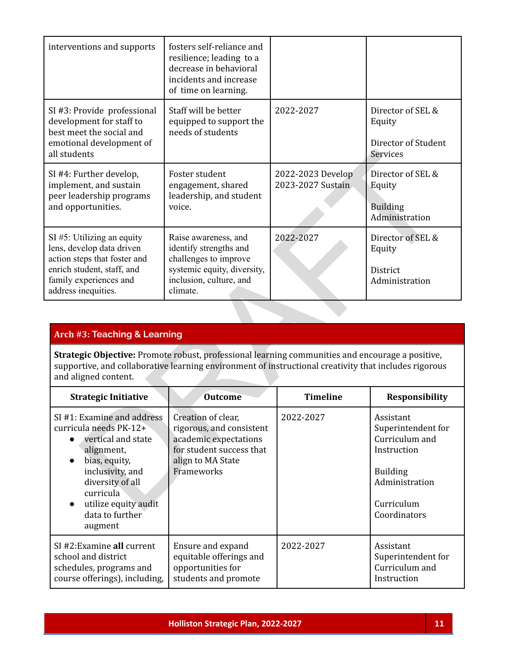| interventions and supports                                                                                                                                                                                                                                                   | fosters self-reliance and<br>resilience; leading to a<br>decrease in behavioral<br>incidents and increase<br>of time on learning.             |                                        |                                                                                                                     |
|------------------------------------------------------------------------------------------------------------------------------------------------------------------------------------------------------------------------------------------------------------------------------|-----------------------------------------------------------------------------------------------------------------------------------------------|----------------------------------------|---------------------------------------------------------------------------------------------------------------------|
| SI #3: Provide professional<br>development for staff to<br>best meet the social and<br>emotional development of<br>all students                                                                                                                                              | Staff will be better<br>equipped to support the<br>needs of students                                                                          | 2022-2027                              | Director of SEL &<br>Equity<br>Director of Student<br>Services                                                      |
| SI #4: Further develop,<br>implement, and sustain<br>peer leadership programs<br>and opportunities.                                                                                                                                                                          | Foster student<br>engagement, shared<br>leadership, and student<br>voice.                                                                     | 2022-2023 Develop<br>2023-2027 Sustain | Director of SEL &<br>Equity<br><b>Building</b><br>Administration                                                    |
| SI #5: Utilizing an equity<br>lens, develop data driven<br>action steps that foster and<br>enrich student, staff, and<br>family experiences and<br>address inequities.                                                                                                       | Raise awareness, and<br>identify strengths and<br>challenges to improve<br>systemic equity, diversity,<br>inclusion, culture, and<br>climate. | 2022-2027                              | Director of SEL &<br>Equity<br>District<br>Administration                                                           |
| <b>Arch #3: Teaching &amp; Learning</b><br>Strategic Objective: Promote robust, professional learning communities and encourage a positive,<br>supportive, and collaborative learning environment of instructional creativity that includes rigorous<br>and aligned content. |                                                                                                                                               |                                        |                                                                                                                     |
| <b>Strategic Initiative</b>                                                                                                                                                                                                                                                  | <b>Outcome</b>                                                                                                                                | <b>Timeline</b>                        | <b>Responsibility</b>                                                                                               |
| SI #1: Examine and address<br>curricula needs PK-12+<br>vertical and state<br>alignment,<br>bias, equity,<br>inclusivity, and<br>diversity of all<br>curricula<br>utilize equity audit<br>$\bullet$                                                                          | Creation of clear,<br>rigorous, and consistent<br>academic expectations<br>for student success that<br>align to MA State<br>Frameworks        | 2022-2027                              | Assistant<br>Superintendent for<br>Curriculum and<br>Instruction<br><b>Building</b><br>Administration<br>Curriculum |

### **Arch #3: Teaching & Learning**

| <b>Strategic Initiative</b>                                                                                                                                                                                                         | <b>Outcome</b>                                                                                                                         | <b>Timeline</b> | <b>Responsibility</b>                                                                                                               |
|-------------------------------------------------------------------------------------------------------------------------------------------------------------------------------------------------------------------------------------|----------------------------------------------------------------------------------------------------------------------------------------|-----------------|-------------------------------------------------------------------------------------------------------------------------------------|
| SI #1: Examine and address<br>curricula needs PK-12+<br>• vertical and state<br>alignment,<br>bias, equity,<br>inclusivity, and<br>diversity of all<br>curricula<br>utilize equity audit<br>$\bullet$<br>data to further<br>augment | Creation of clear,<br>rigorous, and consistent<br>academic expectations<br>for student success that<br>align to MA State<br>Frameworks | 2022-2027       | Assistant<br>Superintendent for<br>Curriculum and<br>Instruction<br><b>Building</b><br>Administration<br>Curriculum<br>Coordinators |
| SI #2: Examine all current<br>school and district<br>schedules, programs and<br>course offerings), including,                                                                                                                       | Ensure and expand<br>equitable offerings and<br>opportunities for<br>students and promote                                              | 2022-2027       | Assistant<br>Superintendent for<br>Curriculum and<br>Instruction                                                                    |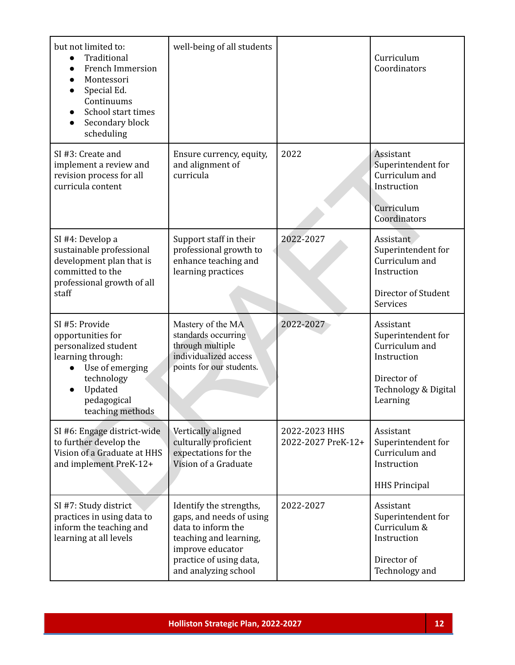| but not limited to:<br>Traditional<br>$\bullet$<br>French Immersion<br>Montessori<br>Special Ed.<br>Continuums<br>School start times<br>Secondary block<br>scheduling | well-being of all students                                                                                                                                                 |                                     | Curriculum<br>Coordinators                                                                                          |
|-----------------------------------------------------------------------------------------------------------------------------------------------------------------------|----------------------------------------------------------------------------------------------------------------------------------------------------------------------------|-------------------------------------|---------------------------------------------------------------------------------------------------------------------|
| SI #3: Create and<br>implement a review and<br>revision process for all<br>curricula content                                                                          | Ensure currency, equity,<br>and alignment of<br>curricula                                                                                                                  | 2022                                | Assistant<br>Superintendent for<br>Curriculum and<br>Instruction<br>Curriculum<br>Coordinators                      |
| SI #4: Develop a<br>sustainable professional<br>development plan that is<br>committed to the<br>professional growth of all<br>staff                                   | Support staff in their<br>professional growth to<br>enhance teaching and<br>learning practices                                                                             | 2022-2027                           | Assistant<br>Superintendent for<br>Curriculum and<br>Instruction<br>Director of Student<br>Services                 |
| SI #5: Provide<br>opportunities for<br>personalized student<br>learning through:<br>Use of emerging<br>technology<br>Updated<br>pedagogical<br>teaching methods       | Mastery of the MA<br>standards occurring<br>through multiple<br>individualized access<br>points for our students.                                                          | 2022-2027                           | Assistant<br>Superintendent for<br>Curriculum and<br>Instruction<br>Director of<br>Technology & Digital<br>Learning |
| SI #6: Engage district-wide<br>to further develop the<br>Vision of a Graduate at HHS<br>and implement PreK-12+                                                        | Vertically aligned<br>culturally proficient<br>expectations for the<br>Vision of a Graduate                                                                                | 2022-2023 HHS<br>2022-2027 PreK-12+ | Assistant<br>Superintendent for<br>Curriculum and<br>Instruction<br><b>HHS Principal</b>                            |
| SI #7: Study district<br>practices in using data to<br>inform the teaching and<br>learning at all levels                                                              | Identify the strengths,<br>gaps, and needs of using<br>data to inform the<br>teaching and learning,<br>improve educator<br>practice of using data,<br>and analyzing school | 2022-2027                           | Assistant<br>Superintendent for<br>Curriculum &<br>Instruction<br>Director of<br>Technology and                     |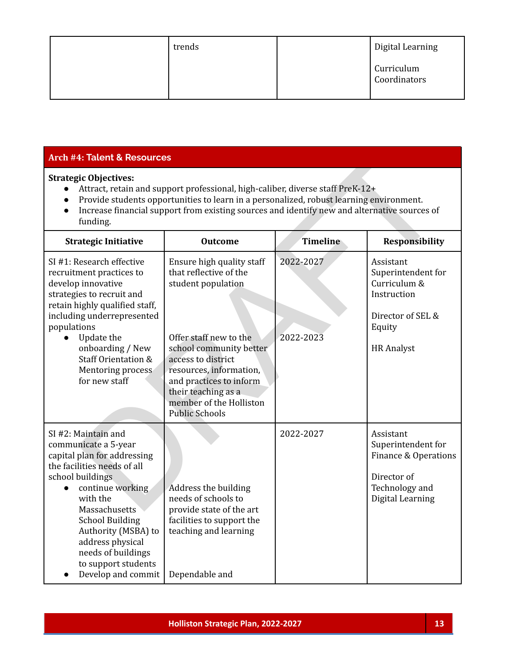| trends | Digital Learning           |
|--------|----------------------------|
|        | Curriculum<br>Coordinators |

#### **Arch #4: Talent & Resources**

#### **Strategic Objectives:**

- Attract, retain and support professional, high-caliber, diverse staff PreK-12+
- Provide students opportunities to learn in a personalized, robust learning environment.
- Increase financial support from existing sources and identify new and alternative sources of funding.

| <b>Arch #4: Talent &amp; Resources</b>                                                                                                                                                                                                                                                                                 |                                                                                                                                                                                                                                                                                       |                        |                                                                                                                    |  |
|------------------------------------------------------------------------------------------------------------------------------------------------------------------------------------------------------------------------------------------------------------------------------------------------------------------------|---------------------------------------------------------------------------------------------------------------------------------------------------------------------------------------------------------------------------------------------------------------------------------------|------------------------|--------------------------------------------------------------------------------------------------------------------|--|
| <b>Strategic Objectives:</b><br>Attract, retain and support professional, high-caliber, diverse staff PreK-12+<br>Provide students opportunities to learn in a personalized, robust learning environment.<br>Increase financial support from existing sources and identify new and alternative sources of<br>funding.  |                                                                                                                                                                                                                                                                                       |                        |                                                                                                                    |  |
| <b>Strategic Initiative</b>                                                                                                                                                                                                                                                                                            | <b>Outcome</b>                                                                                                                                                                                                                                                                        | <b>Timeline</b>        | <b>Responsibility</b>                                                                                              |  |
| SI #1: Research effective<br>recruitment practices to<br>develop innovative<br>strategies to recruit and<br>retain highly qualified staff,<br>including underrepresented<br>populations<br>Update the<br>onboarding / New<br><b>Staff Orientation &amp;</b><br>Mentoring process<br>for new staff                      | Ensure high quality staff<br>that reflective of the<br>student population<br>Offer staff new to the<br>school community better<br>access to district<br>resources, information,<br>and practices to inform<br>their teaching as a<br>member of the Holliston<br><b>Public Schools</b> | 2022-2027<br>2022-2023 | Assistant<br>Superintendent for<br>Curriculum &<br>Instruction<br>Director of SEL &<br>Equity<br><b>HR</b> Analyst |  |
| SI #2: Maintain and<br>communicate a 5-year<br>capital plan for addressing<br>the facilities needs of all<br>school buildings<br>continue working<br>with the<br>Massachusetts<br><b>School Building</b><br>Authority (MSBA) to<br>address physical<br>needs of buildings<br>to support students<br>Develop and commit | Address the building<br>needs of schools to<br>provide state of the art<br>facilities to support the<br>teaching and learning<br>Dependable and                                                                                                                                       | 2022-2027              | Assistant<br>Superintendent for<br>Finance & Operations<br>Director of<br>Technology and<br>Digital Learning       |  |